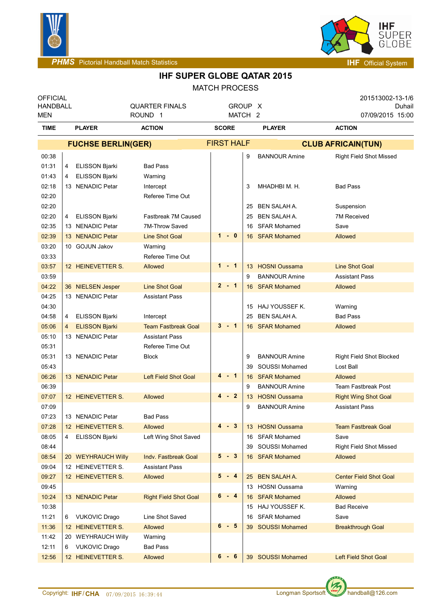



| <b>MATCH PROCESS</b> |  |  |  |  |
|----------------------|--|--|--|--|
|----------------------|--|--|--|--|

| <b>OFFICIAL</b><br><b>HANDBALL</b> |                           |                       | <b>QUARTER FINALS</b>        |                   | GROUP X            |    |                       | 201513002-13-1/6<br>Duhail      |
|------------------------------------|---------------------------|-----------------------|------------------------------|-------------------|--------------------|----|-----------------------|---------------------------------|
| MEN                                |                           |                       | ROUND <sub>1</sub>           |                   | MATCH <sub>2</sub> |    |                       | 07/09/2015 15:00                |
| <b>TIME</b>                        |                           | <b>PLAYER</b>         | <b>ACTION</b>                | <b>SCORE</b>      |                    |    | <b>PLAYER</b>         | <b>ACTION</b>                   |
|                                    | <b>FUCHSE BERLIN(GER)</b> |                       |                              | <b>FIRST HALF</b> |                    |    |                       | <b>CLUB AFRICAIN(TUN)</b>       |
| 00:38                              |                           |                       |                              |                   |                    | 9  | <b>BANNOUR Amine</b>  | <b>Right Field Shot Missed</b>  |
| 01:31                              | 4                         | <b>ELISSON Bjarki</b> | <b>Bad Pass</b>              |                   |                    |    |                       |                                 |
| 01:43                              | 4                         | <b>ELISSON Bjarki</b> | Warning                      |                   |                    |    |                       |                                 |
| 02:18                              |                           | 13 NENADIC Petar      | Intercept                    |                   |                    | 3  | MHADHBI M. H.         | <b>Bad Pass</b>                 |
| 02:20                              |                           |                       | Referee Time Out             |                   |                    |    |                       |                                 |
| 02:20                              |                           |                       |                              |                   |                    | 25 | BEN SALAH A.          | Suspension                      |
| 02:20                              | 4                         | <b>ELISSON Bjarki</b> | Fastbreak 7M Caused          |                   |                    | 25 | <b>BEN SALAH A.</b>   | <b>7M Received</b>              |
| 02:35                              |                           | 13 NENADIC Petar      | 7M-Throw Saved               |                   |                    | 16 | <b>SFAR Mohamed</b>   | Save                            |
| 02:39                              |                           | 13 NENADIC Petar      | <b>Line Shot Goal</b>        |                   | $1 - 0$            |    | 16 SFAR Mohamed       | Allowed                         |
| 03:20                              |                           | 10 GOJUN Jakov        | Warning                      |                   |                    |    |                       |                                 |
| 03:33                              |                           |                       | Referee Time Out             |                   |                    |    |                       |                                 |
| 03:57                              |                           | 12 HEINEVETTER S.     | Allowed                      |                   | $1 - 1$            |    | 13 HOSNI Oussama      | <b>Line Shot Goal</b>           |
| 03:59                              |                           |                       |                              |                   |                    | 9  | <b>BANNOUR Amine</b>  | <b>Assistant Pass</b>           |
| 04:22                              |                           | 36 NIELSEN Jesper     | <b>Line Shot Goal</b>        |                   | $2 - 1$            |    | 16 SFAR Mohamed       | Allowed                         |
| 04:25                              |                           | 13 NENADIC Petar      | <b>Assistant Pass</b>        |                   |                    |    |                       |                                 |
| 04:30                              |                           |                       |                              |                   |                    | 15 | HAJ YOUSSEF K.        | Warning                         |
| 04:58                              | 4                         | <b>ELISSON Bjarki</b> | Intercept                    |                   |                    | 25 | <b>BEN SALAH A.</b>   | <b>Bad Pass</b>                 |
| 05:06                              | 4                         | <b>ELISSON Bjarki</b> | <b>Team Fastbreak Goal</b>   |                   | $3 - 1$            |    | 16 SFAR Mohamed       | Allowed                         |
| 05:10                              |                           | 13 NENADIC Petar      | <b>Assistant Pass</b>        |                   |                    |    |                       |                                 |
| 05:31                              |                           |                       | Referee Time Out             |                   |                    |    |                       |                                 |
| 05:31                              |                           | 13 NENADIC Petar      | <b>Block</b>                 |                   |                    | 9  | <b>BANNOUR Amine</b>  | <b>Right Field Shot Blocked</b> |
| 05:43                              |                           |                       |                              |                   |                    | 39 | SOUSSI Mohamed        | Lost Ball                       |
| 06:26                              |                           | 13 NENADIC Petar      | <b>Left Field Shot Goal</b>  |                   | 4-1                | 16 | <b>SFAR Mohamed</b>   | Allowed                         |
| 06:39                              |                           |                       |                              |                   |                    | 9  | <b>BANNOUR Amine</b>  | <b>Team Fastbreak Post</b>      |
| 07:07                              |                           | 12 HEINEVETTER S.     | Allowed                      |                   | $4 - 2$            | 13 | <b>HOSNI Oussama</b>  | <b>Right Wing Shot Goal</b>     |
| 07:09                              |                           |                       |                              |                   |                    | 9  | <b>BANNOUR Amine</b>  | <b>Assistant Pass</b>           |
| 07:23                              |                           | 13 NENADIC Petar      | <b>Bad Pass</b>              |                   |                    |    |                       |                                 |
| 07:28                              |                           | 12 HEINEVETTER S.     | Allowed                      |                   | $4 - 3$            |    | 13 HOSNI Oussama      | <b>Team Fastbreak Goal</b>      |
| 08:05                              | 4                         | <b>ELISSON Bjarki</b> | Left Wing Shot Saved         |                   |                    | 16 | SFAR Mohamed          | Save                            |
| 08:44                              |                           |                       |                              |                   |                    | 39 | SOUSSI Mohamed        | <b>Right Field Shot Missed</b>  |
| 08:54                              |                           | 20 WEYHRAUCH Willy    | Indv. Fastbreak Goal         |                   | $5 - 3$            |    | 16 SFAR Mohamed       | Allowed                         |
| 09:04                              |                           | 12 HEINEVETTER S.     | <b>Assistant Pass</b>        |                   |                    |    |                       |                                 |
| 09:27                              |                           | 12 HEINEVETTER S.     | <b>Allowed</b>               |                   | $5 - 4$            | 25 | <b>BEN SALAH A.</b>   | <b>Center Field Shot Goal</b>   |
| 09:45                              |                           |                       |                              |                   |                    |    | 13 HOSNI Oussama      | Warning                         |
| 10:24                              |                           | 13 NENADIC Petar      | <b>Right Field Shot Goal</b> | 6                 | $-4$               | 16 | <b>SFAR Mohamed</b>   | Allowed                         |
| 10:38                              |                           |                       |                              |                   |                    |    | 15 HAJ YOUSSEF K.     | <b>Bad Receive</b>              |
| 11:21                              | 6                         | <b>VUKOVIC Drago</b>  | Line Shot Saved              |                   |                    |    | 16 SFAR Mohamed       | Save                            |
| 11:36                              |                           | 12 HEINEVETTER S.     | Allowed                      |                   | $6 - 5$            | 39 | <b>SOUSSI Mohamed</b> | <b>Breakthrough Goal</b>        |
| 11:42                              |                           | 20 WEYHRAUCH Willy    | Warning                      |                   |                    |    |                       |                                 |
| 12:11                              | 6.                        | <b>VUKOVIC Drago</b>  | <b>Bad Pass</b>              |                   |                    |    |                       |                                 |
| 12:56                              |                           | 12 HEINEVETTER S.     | Allowed                      |                   | $6 - 6$            |    | 39 SOUSSI Mohamed     | Left Field Shot Goal            |

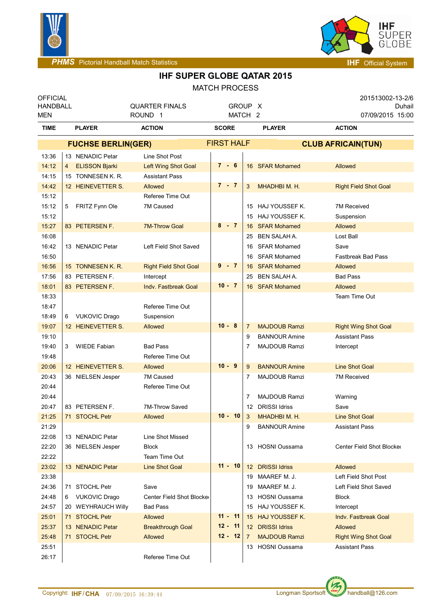



## **IHF SUPER GLOBE QATAR 2015** MATCH PROCESS

|                                    |   |                           |                                        | <b>IVIALULLENUULUU</b> |                |                      |                              |
|------------------------------------|---|---------------------------|----------------------------------------|------------------------|----------------|----------------------|------------------------------|
| <b>OFFICIAL</b><br><b>HANDBALL</b> |   |                           | <b>QUARTER FINALS</b>                  | GROUP X                |                |                      | 201513002-13-2/6<br>Duhail   |
| MEN                                |   |                           | ROUND <sub>1</sub>                     | MATCH <sub>2</sub>     |                |                      | 07/09/2015 15:00             |
| TIME                               |   | <b>PLAYER</b>             | <b>ACTION</b>                          | <b>SCORE</b>           |                | <b>PLAYER</b>        | <b>ACTION</b>                |
|                                    |   | <b>FUCHSE BERLIN(GER)</b> |                                        | <b>FIRST HALF</b>      |                |                      | <b>CLUB AFRICAIN(TUN)</b>    |
| 13:36                              |   | 13 NENADIC Petar          | Line Shot Post                         |                        |                |                      |                              |
| 14:12                              | 4 | <b>ELISSON Bjarki</b>     | <b>Left Wing Shot Goal</b>             | $7 - 6$                |                | 16 SFAR Mohamed      | Allowed                      |
| 14:15                              |   | 15 TONNESEN K. R.         | <b>Assistant Pass</b>                  |                        |                |                      |                              |
| 14:42                              |   | 12 HEINEVETTER S.         | Allowed                                | $7 - 7$                | 3              | MHADHBI M. H.        | <b>Right Field Shot Goal</b> |
| 15:12                              |   |                           | Referee Time Out                       |                        |                |                      |                              |
| 15:12                              | 5 | FRITZ Fynn Ole            | 7M Caused                              |                        |                | 15 HAJ YOUSSEF K.    | <b>7M Received</b>           |
| 15:12                              |   |                           |                                        |                        | 15             | HAJ YOUSSEF K.       | Suspension                   |
| 15:27                              |   | 83 PETERSEN F.            | <b>7M-Throw Goal</b>                   | $8 - 7$                | 16             | <b>SFAR Mohamed</b>  | Allowed                      |
| 16:08                              |   |                           |                                        |                        | 25             | <b>BEN SALAH A.</b>  | Lost Ball                    |
| 16:42                              |   | 13 NENADIC Petar          | Left Field Shot Saved                  |                        | 16             | <b>SFAR Mohamed</b>  | Save                         |
| 16:50                              |   |                           |                                        |                        | 16             | <b>SFAR Mohamed</b>  | <b>Fastbreak Bad Pass</b>    |
| 16:56                              |   | 15 TONNESEN K.R.          | <b>Right Field Shot Goal</b>           | 9<br>$-7$              | 16             | <b>SFAR Mohamed</b>  | Allowed                      |
| 17:56                              |   | 83 PETERSEN F.            | Intercept                              |                        | 25             | <b>BEN SALAH A.</b>  | <b>Bad Pass</b>              |
| 18:01                              |   | 83 PETERSEN F.            | <b>Indy. Fastbreak Goal</b>            | $10 - 7$               |                | 16 SFAR Mohamed      | Allowed                      |
| 18:33                              |   |                           |                                        |                        |                |                      | Team Time Out                |
| 18:47                              |   |                           | Referee Time Out                       |                        |                |                      |                              |
| 18:49                              | 6 | <b>VUKOVIC Drago</b>      | Suspension                             |                        |                |                      |                              |
| 19:07                              |   | 12 HEINEVETTER S.         | Allowed                                | $10 - 8$               | $\overline{7}$ | <b>MAJDOUB Ramzi</b> | <b>Right Wing Shot Goal</b>  |
| 19:10                              |   |                           |                                        |                        | 9              | <b>BANNOUR Amine</b> | <b>Assistant Pass</b>        |
| 19:40                              | 3 | <b>WIEDE Fabian</b>       | <b>Bad Pass</b>                        |                        | 7              | <b>MAJDOUB Ramzi</b> | Intercept                    |
| 19:48                              |   |                           | Referee Time Out                       |                        |                |                      |                              |
| 20:06                              |   | 12 HEINEVETTER S.         | Allowed                                | $10 - 9$               | 9              | <b>BANNOUR Amine</b> | <b>Line Shot Goal</b>        |
| 20:43                              |   | 36 NIELSEN Jesper         | 7M Caused                              |                        | 7              | <b>MAJDOUB Ramzi</b> | <b>7M Received</b>           |
| 20:44                              |   |                           | Referee Time Out                       |                        |                |                      |                              |
| 20:44                              |   |                           |                                        |                        | 7              | <b>MAJDOUB Ramzi</b> | Warning                      |
| 20:47                              |   | 83 PETERSEN F.            | 7M-Throw Saved                         |                        |                | 12 DRISSI Idriss     | Save                         |
| 21:25                              |   | 71 STOCHL Petr            | Allowed                                | $10 - 10$              | 3              | MHADHBI M. H.        | <b>Line Shot Goal</b>        |
| 21:29                              |   |                           |                                        |                        | 9              | <b>BANNOUR Amine</b> | <b>Assistant Pass</b>        |
| 22:08                              |   | 13 NENADIC Petar          | Line Shot Missed                       |                        |                |                      |                              |
| 22:20                              |   | 36 NIELSEN Jesper         | <b>Block</b>                           |                        |                | 13 HOSNI Oussama     | Center Field Shot Blocker    |
| 22:22                              |   | 13 NENADIC Petar          | Team Time Out<br><b>Line Shot Goal</b> | $11 - 10$              |                | 12 DRISSI Idriss     | Allowed                      |
| 23:02<br>23:38                     |   |                           |                                        |                        |                | MAAREF M. J.         | Left Field Shot Post         |
| 24:36                              |   | 71 STOCHL Petr            | Save                                   |                        | 19<br>19       | MAAREF M. J.         | Left Field Shot Saved        |
| 24:48                              |   | <b>VUKOVIC Drago</b>      | Center Field Shot Blocker              |                        |                | 13 HOSNI Oussama     | <b>Block</b>                 |
| 24:57                              | 6 | 20 WEYHRAUCH Willy        | <b>Bad Pass</b>                        |                        |                | 15 HAJ YOUSSEF K.    | Intercept                    |
| 25:01                              |   | 71 STOCHL Petr            | Allowed                                | $11 - 11$              |                | 15 HAJ YOUSSEF K.    | <b>Indv. Fastbreak Goal</b>  |
| 25:37                              |   | 13 NENADIC Petar          | <b>Breakthrough Goal</b>               | $12 - 11$              |                | 12 DRISSI Idriss     | Allowed                      |
| 25:48                              |   | 71 STOCHL Petr            | Allowed                                | $12 - 12$              | $\overline{7}$ | <b>MAJDOUB Ramzi</b> | <b>Right Wing Shot Goal</b>  |
| 25:51                              |   |                           |                                        |                        |                | 13 HOSNI Oussama     | <b>Assistant Pass</b>        |
| 26:17                              |   |                           | Referee Time Out                       |                        |                |                      |                              |
|                                    |   |                           |                                        |                        |                |                      |                              |



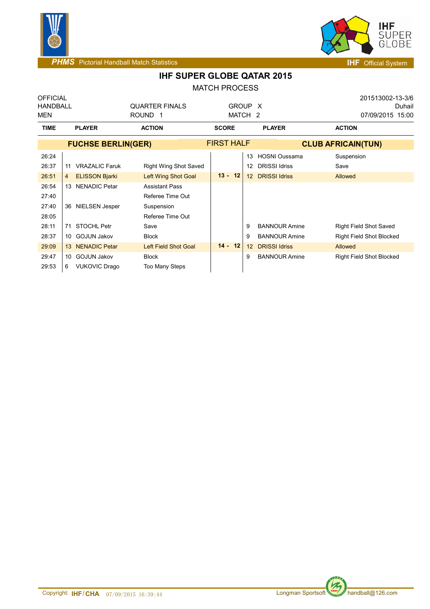



|                                    |                  |                           |                                              | <b>MATCH PROCESS</b>          |                 |                      |                           |                                                   |
|------------------------------------|------------------|---------------------------|----------------------------------------------|-------------------------------|-----------------|----------------------|---------------------------|---------------------------------------------------|
| <b>OFFICIAL</b><br>HANDBALL<br>MEN |                  |                           | <b>QUARTER FINALS</b><br><b>ROUND</b><br>- 1 | GROUP X<br>MATCH <sub>2</sub> |                 |                      |                           | 201513002-13-3/6<br>Duhail<br>07/09/2015<br>15:00 |
| <b>TIME</b>                        |                  | <b>PLAYER</b>             | <b>ACTION</b>                                | <b>SCORE</b>                  |                 | <b>PLAYER</b>        | <b>ACTION</b>             |                                                   |
|                                    |                  | <b>FUCHSE BERLIN(GER)</b> |                                              | <b>FIRST HALF</b>             |                 |                      | <b>CLUB AFRICAIN(TUN)</b> |                                                   |
| 26:24                              |                  |                           |                                              |                               | 13              | HOSNI Oussama        | Suspension                |                                                   |
| 26:37                              | 11               | <b>VRAZALIC Faruk</b>     | <b>Right Wing Shot Saved</b>                 |                               | 12              | <b>DRISSI Idriss</b> | Save                      |                                                   |
| 26:51                              | 4                | <b>ELISSON Bjarki</b>     | <b>Left Wing Shot Goal</b>                   | $13 -$<br>12                  | 12 <sup>2</sup> | <b>DRISSI Idriss</b> | Allowed                   |                                                   |
| 26:54                              | 13               | <b>NENADIC Petar</b>      | <b>Assistant Pass</b>                        |                               |                 |                      |                           |                                                   |
| 27:40                              |                  |                           | Referee Time Out                             |                               |                 |                      |                           |                                                   |
| 27:40                              |                  | 36 NIELSEN Jesper         | Suspension                                   |                               |                 |                      |                           |                                                   |
| 28:05                              |                  |                           | Referee Time Out                             |                               |                 |                      |                           |                                                   |
| 28:11                              | 71               | <b>STOCHL Petr</b>        | Save                                         |                               | 9               | <b>BANNOUR Amine</b> |                           | <b>Right Field Shot Saved</b>                     |
| 28:37                              | 10               | <b>GOJUN Jakov</b>        | <b>Block</b>                                 |                               | 9               | <b>BANNOUR Amine</b> |                           | <b>Right Field Shot Blocked</b>                   |
| 29:09                              | 13 <sup>13</sup> | <b>NENADIC Petar</b>      | Left Field Shot Goal                         | $14 -$<br>12                  | 12              | <b>DRISSI Idriss</b> | Allowed                   |                                                   |
| 29:47                              | 10               | <b>GOJUN Jakov</b>        | <b>Block</b>                                 |                               | 9               | <b>BANNOUR Amine</b> |                           | <b>Right Field Shot Blocked</b>                   |
| 29:53                              | 6                | <b>VUKOVIC Drago</b>      | <b>Too Many Steps</b>                        |                               |                 |                      |                           |                                                   |
|                                    |                  |                           |                                              |                               |                 |                      |                           |                                                   |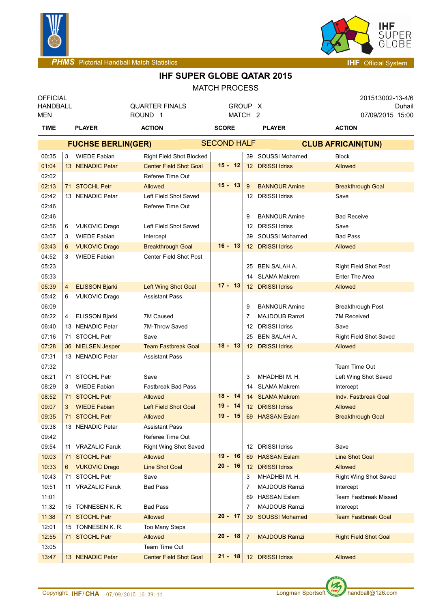



**PHMS** Pictorial Handball Match Statistics **Interval and American System IHF** Official System

| <b>OFFICIAL</b><br><b>HANDBALL</b><br><b>MEN</b> | <b>QUARTER FINALS</b><br>ROUND <sub>1</sub> |                       | GROUP X<br>MATCH <sub>2</sub> |                               |              |    |    | 201513002-13-4/6<br>Duhail<br>07/09/2015 15:00 |  |                               |  |
|--------------------------------------------------|---------------------------------------------|-----------------------|-------------------------------|-------------------------------|--------------|----|----|------------------------------------------------|--|-------------------------------|--|
| <b>TIME</b>                                      |                                             | <b>PLAYER</b>         | <b>ACTION</b>                 |                               | <b>SCORE</b> |    |    | <b>PLAYER</b>                                  |  | <b>ACTION</b>                 |  |
|                                                  | <b>FUCHSE BERLIN(GER)</b>                   |                       |                               | <b>SECOND HALF</b>            |              |    |    | <b>CLUB AFRICAIN(TUN)</b>                      |  |                               |  |
| 00:35                                            | 3                                           | <b>WIEDE Fabian</b>   |                               | Right Field Shot Blocked      |              |    |    | 39 SOUSSI Mohamed                              |  | <b>Block</b>                  |  |
| 01:04                                            |                                             | 13 NENADIC Petar      |                               | <b>Center Field Shot Goal</b> | $15 - 12$    |    |    | 12 DRISSI Idriss                               |  | Allowed                       |  |
| 02:02                                            |                                             |                       |                               | Referee Time Out              |              |    |    |                                                |  |                               |  |
| 02:13                                            |                                             | 71 STOCHL Petr        | Allowed                       |                               | $15 - 13$    |    | 9  | <b>BANNOUR Amine</b>                           |  | <b>Breakthrough Goal</b>      |  |
| 02:42                                            |                                             | 13 NENADIC Petar      |                               | Left Field Shot Saved         |              |    | 12 | <b>DRISSI Idriss</b>                           |  | Save                          |  |
| 02:46                                            |                                             |                       |                               | Referee Time Out              |              |    |    |                                                |  |                               |  |
| 02:46                                            |                                             |                       |                               |                               |              |    | 9  | <b>BANNOUR Amine</b>                           |  | <b>Bad Receive</b>            |  |
| 02:56                                            | 6                                           | <b>VUKOVIC Drago</b>  |                               | Left Field Shot Saved         |              |    | 12 | <b>DRISSI Idriss</b>                           |  | Save                          |  |
| 03:07                                            | 3                                           | <b>WIEDE Fabian</b>   | Intercept                     |                               |              |    | 39 | SOUSSI Mohamed                                 |  | <b>Bad Pass</b>               |  |
| 03:43                                            | 6                                           | <b>VUKOVIC Drago</b>  |                               | <b>Breakthrough Goal</b>      | $16 - 13$    |    |    | 12 DRISSI Idriss                               |  | Allowed                       |  |
| 04:52                                            | 3                                           | <b>WIEDE Fabian</b>   |                               | <b>Center Field Shot Post</b> |              |    |    |                                                |  |                               |  |
| 05:23                                            |                                             |                       |                               |                               |              |    | 25 | BEN SALAH A.                                   |  | <b>Right Field Shot Post</b>  |  |
| 05:33                                            |                                             |                       |                               |                               |              |    | 14 | <b>SLAMA Makrem</b>                            |  | <b>Enter The Area</b>         |  |
| 05:39                                            | 4                                           | <b>ELISSON Bjarki</b> |                               | <b>Left Wing Shot Goal</b>    | $17 - 13$    |    |    | 12 DRISSI Idriss                               |  | Allowed                       |  |
| 05:42                                            | 6                                           | <b>VUKOVIC Drago</b>  | <b>Assistant Pass</b>         |                               |              |    |    |                                                |  |                               |  |
| 06:09                                            |                                             |                       |                               |                               |              |    | 9  | <b>BANNOUR Amine</b>                           |  | <b>Breakthrough Post</b>      |  |
| 06:22                                            | 4                                           | <b>ELISSON Bjarki</b> | 7M Caused                     |                               |              |    | 7  | <b>MAJDOUB Ramzi</b>                           |  | <b>7M Received</b>            |  |
| 06:40                                            |                                             | 13 NENADIC Petar      | 7M-Throw Saved                |                               |              |    | 12 | <b>DRISSI Idriss</b>                           |  | Save                          |  |
| 07:16                                            |                                             | 71 STOCHL Petr        | Save                          |                               |              |    | 25 | <b>BEN SALAH A.</b>                            |  | <b>Right Field Shot Saved</b> |  |
| 07:28                                            |                                             | 36 NIELSEN Jesper     |                               | <b>Team Fastbreak Goal</b>    | $18 - 13$    |    |    | 12 DRISSI Idriss                               |  | Allowed                       |  |
| 07:31                                            |                                             | 13 NENADIC Petar      | <b>Assistant Pass</b>         |                               |              |    |    |                                                |  |                               |  |
| 07:32                                            |                                             |                       |                               |                               |              |    |    |                                                |  | Team Time Out                 |  |
| 08:21                                            |                                             | 71 STOCHL Petr        | Save                          |                               |              |    | 3  | MHADHBI M. H.                                  |  | Left Wing Shot Saved          |  |
| 08:29                                            | 3                                           | <b>WIEDE Fabian</b>   |                               | <b>Fastbreak Bad Pass</b>     |              |    | 14 | <b>SLAMA Makrem</b>                            |  | Intercept                     |  |
| 08:52                                            |                                             | 71 STOCHL Petr        | <b>Allowed</b>                |                               | $18 - 14$    |    |    | 14 SLAMA Makrem                                |  | Indv. Fastbreak Goal          |  |
| 09:07                                            | 3                                           | <b>WIEDE Fabian</b>   |                               | <b>Left Field Shot Goal</b>   | $19 -$       | 14 |    | 12 DRISSI Idriss                               |  | Allowed                       |  |
| 09:35                                            |                                             | 71 STOCHL Petr        | <b>Allowed</b>                |                               | $19 - 15$    |    |    | 69 HASSAN Eslam                                |  | <b>Breakthrough Goal</b>      |  |
| 09:38                                            |                                             | 13 NENADIC Petar      | <b>Assistant Pass</b>         |                               |              |    |    |                                                |  |                               |  |
| 09:42                                            |                                             |                       |                               | Referee Time Out              |              |    |    |                                                |  |                               |  |
| 09:54                                            |                                             | 11 VRAZALIC Faruk     |                               | Right Wing Shot Saved         |              |    |    | 12 DRISSI Idriss                               |  | Save                          |  |
| 10:03                                            |                                             | 71 STOCHL Petr        | Allowed                       |                               | $19 - 16$    |    | 69 | <b>HASSAN Eslam</b>                            |  | <b>Line Shot Goal</b>         |  |
| 10:33                                            |                                             | 6 VUKOVIC Drago       | <b>Line Shot Goal</b>         |                               | $20 - 16$    |    |    | 12 DRISSI Idriss                               |  | Allowed                       |  |
| 10:43                                            |                                             | 71 STOCHL Petr        | Save                          |                               |              |    | 3  | MHADHBI M. H.                                  |  | Right Wing Shot Saved         |  |
| 10:51                                            |                                             | 11 VRAZALIC Faruk     | <b>Bad Pass</b>               |                               |              |    | 7  | <b>MAJDOUB Ramzi</b>                           |  | Intercept                     |  |
| 11:01                                            |                                             |                       |                               |                               |              |    | 69 | <b>HASSAN Eslam</b>                            |  | Team Fastbreak Missed         |  |
| 11:32                                            |                                             | 15 TONNESEN K. R.     | <b>Bad Pass</b>               |                               |              |    | 7  | <b>MAJDOUB Ramzi</b>                           |  | Intercept                     |  |
| 11:38                                            |                                             | 71 STOCHL Petr        | Allowed                       |                               | $20 - 17$    |    |    | 39 SOUSSI Mohamed                              |  | <b>Team Fastbreak Goal</b>    |  |
| 12:01                                            |                                             | 15 TONNESEN K. R.     | Too Many Steps                |                               |              |    |    |                                                |  |                               |  |
| 12:55                                            |                                             | 71 STOCHL Petr        | Allowed                       |                               | $20 - 18$    |    | 7  | <b>MAJDOUB Ramzi</b>                           |  | <b>Right Field Shot Goal</b>  |  |
| 13:05                                            |                                             |                       | Team Time Out                 |                               |              |    |    |                                                |  |                               |  |
| 13:47                                            |                                             | 13 NENADIC Petar      |                               | <b>Center Field Shot Goal</b> | $21 - 18$    |    |    | 12 DRISSI Idriss                               |  | Allowed                       |  |

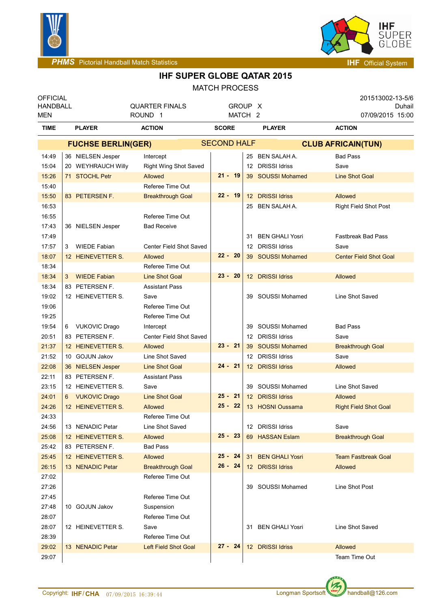



**IHF SUPER GLOBE QATAR 2015**

MATCH PROCESS

| <b>OFFICIAL</b><br><b>HANDBALL</b><br>MEN |                           | <b>QUARTER FINALS</b><br>ROUND <sub>1</sub> |                              |                    |  | GROUP X<br>MATCH <sub>2</sub> |                        | 201513002-13-5/6<br>Duhail<br>07/09/2015 15:00 |  |  |
|-------------------------------------------|---------------------------|---------------------------------------------|------------------------------|--------------------|--|-------------------------------|------------------------|------------------------------------------------|--|--|
| <b>TIME</b>                               |                           | <b>PLAYER</b>                               | <b>ACTION</b>                | <b>SCORE</b>       |  |                               | <b>PLAYER</b>          | <b>ACTION</b>                                  |  |  |
|                                           | <b>FUCHSE BERLIN(GER)</b> |                                             |                              | <b>SECOND HALF</b> |  |                               |                        | <b>CLUB AFRICAIN(TUN)</b>                      |  |  |
| 14:49                                     |                           | 36 NIELSEN Jesper                           | Intercept                    |                    |  |                               | 25 BEN SALAH A.        | <b>Bad Pass</b>                                |  |  |
| 15:04                                     |                           | 20 WEYHRAUCH Willy                          | <b>Right Wing Shot Saved</b> |                    |  | 12                            | <b>DRISSI Idriss</b>   | Save                                           |  |  |
| 15:26                                     |                           | 71 STOCHL Petr                              | Allowed                      | $21 - 19$          |  |                               | 39 SOUSSI Mohamed      | <b>Line Shot Goal</b>                          |  |  |
| 15:40                                     |                           |                                             | Referee Time Out             |                    |  |                               |                        |                                                |  |  |
| 15:50                                     |                           | 83 PETERSEN F.                              | <b>Breakthrough Goal</b>     | $22 - 19$          |  |                               | 12 DRISSI Idriss       | Allowed                                        |  |  |
| 16:53                                     |                           |                                             |                              |                    |  | 25                            | <b>BEN SALAH A.</b>    | Right Field Shot Post                          |  |  |
| 16:55                                     |                           |                                             | Referee Time Out             |                    |  |                               |                        |                                                |  |  |
| 17:43                                     |                           | 36 NIELSEN Jesper                           | <b>Bad Receive</b>           |                    |  |                               |                        |                                                |  |  |
| 17:49                                     |                           |                                             |                              |                    |  | 31                            | <b>BEN GHALI Yosri</b> | <b>Fastbreak Bad Pass</b>                      |  |  |
| 17:57                                     | 3                         | <b>WIEDE Fabian</b>                         | Center Field Shot Saved      |                    |  | 12                            | <b>DRISSI Idriss</b>   | Save                                           |  |  |
| 18:07                                     |                           | 12 HEINEVETTER S.                           | Allowed                      | $22 - 20$          |  | 39                            | <b>SOUSSI Mohamed</b>  | <b>Center Field Shot Goal</b>                  |  |  |
| 18:34                                     |                           |                                             | Referee Time Out             |                    |  |                               |                        |                                                |  |  |
| 18:34                                     | 3                         | <b>WIEDE Fabian</b>                         | <b>Line Shot Goal</b>        | $23 - 20$          |  | 12 <sup>°</sup>               | <b>DRISSI Idriss</b>   | Allowed                                        |  |  |
| 18:34                                     |                           | 83 PETERSEN F.                              | <b>Assistant Pass</b>        |                    |  |                               |                        |                                                |  |  |
| 19:02                                     |                           | 12 HEINEVETTER S.                           | Save                         |                    |  | 39                            | SOUSSI Mohamed         | Line Shot Saved                                |  |  |
| 19:06                                     |                           |                                             | Referee Time Out             |                    |  |                               |                        |                                                |  |  |
| 19:25                                     |                           |                                             | Referee Time Out             |                    |  |                               |                        |                                                |  |  |
| 19:54                                     | 6                         | <b>VUKOVIC Drago</b>                        | Intercept                    |                    |  | 39                            | SOUSSI Mohamed         | <b>Bad Pass</b>                                |  |  |
| 20:51                                     |                           | 83 PETERSEN F.                              | Center Field Shot Saved      |                    |  | 12                            | <b>DRISSI Idriss</b>   | Save                                           |  |  |
| 21:37                                     |                           | 12 HEINEVETTER S.                           | Allowed                      | $23 - 21$          |  |                               | 39 SOUSSI Mohamed      | <b>Breakthrough Goal</b>                       |  |  |
| 21:52                                     |                           | 10 GOJUN Jakov                              | Line Shot Saved              |                    |  | 12 <sup>12</sup>              | <b>DRISSI Idriss</b>   | Save                                           |  |  |
| 22:08                                     |                           | 36 NIELSEN Jesper                           | <b>Line Shot Goal</b>        | $24 - 21$          |  |                               | 12 DRISSI Idriss       | Allowed                                        |  |  |
| 22:11                                     |                           | 83 PETERSEN F.                              | <b>Assistant Pass</b>        |                    |  |                               |                        |                                                |  |  |
| 23:15                                     |                           | 12 HEINEVETTER S.                           | Save                         |                    |  | 39                            | SOUSSI Mohamed         | Line Shot Saved                                |  |  |
| 24:01                                     |                           | 6 VUKOVIC Drago                             | <b>Line Shot Goal</b>        | $25 - 21$          |  |                               | 12 DRISSI Idriss       | Allowed                                        |  |  |
| 24:26                                     |                           | 12 HEINEVETTER S.                           | Allowed                      | $25 - 22$          |  |                               | 13 HOSNI Oussama       | <b>Right Field Shot Goal</b>                   |  |  |
| 24:33                                     |                           |                                             | Referee Time Out             |                    |  |                               |                        |                                                |  |  |
| 24:56                                     |                           | 13 NENADIC Petar                            | Line Shot Saved              |                    |  |                               | 12 DRISSI Idriss       | Save                                           |  |  |
| 25:08                                     |                           | 12 HEINEVETTER S.                           | Allowed                      | $25 - 23$          |  |                               | 69 HASSAN Eslam        | <b>Breakthrough Goal</b>                       |  |  |
| 25:42                                     |                           | 83 PETERSEN F.                              | <b>Bad Pass</b>              |                    |  |                               |                        |                                                |  |  |
| 25:45                                     |                           | 12 HEINEVETTER S.                           | Allowed                      | $25 - 24$          |  | 31                            | <b>BEN GHALI Yosri</b> | <b>Team Fastbreak Goal</b>                     |  |  |
| 26:15                                     |                           | 13 NENADIC Petar                            | <b>Breakthrough Goal</b>     | $26 - 24$          |  |                               | 12 DRISSI Idriss       | Allowed                                        |  |  |
| 27:02                                     |                           |                                             | Referee Time Out             |                    |  |                               |                        |                                                |  |  |
| 27:26                                     |                           |                                             |                              |                    |  |                               | 39 SOUSSI Mohamed      | Line Shot Post                                 |  |  |
| 27:45                                     |                           |                                             | Referee Time Out             |                    |  |                               |                        |                                                |  |  |
| 27:48                                     |                           | 10 GOJUN Jakov                              | Suspension                   |                    |  |                               |                        |                                                |  |  |
| 28:07                                     |                           |                                             | Referee Time Out             |                    |  |                               |                        |                                                |  |  |
| 28:07                                     |                           | 12 HEINEVETTER S.                           | Save                         |                    |  |                               | 31 BEN GHALI Yosri     | Line Shot Saved                                |  |  |
| 28:39                                     |                           |                                             | Referee Time Out             |                    |  |                               |                        |                                                |  |  |
| 29:02                                     |                           | 13 NENADIC Petar                            | Left Field Shot Goal         | 27 - 24            |  |                               | 12 DRISSI Idriss       | Allowed                                        |  |  |
| 29:07                                     |                           |                                             |                              |                    |  |                               |                        | Team Time Out                                  |  |  |